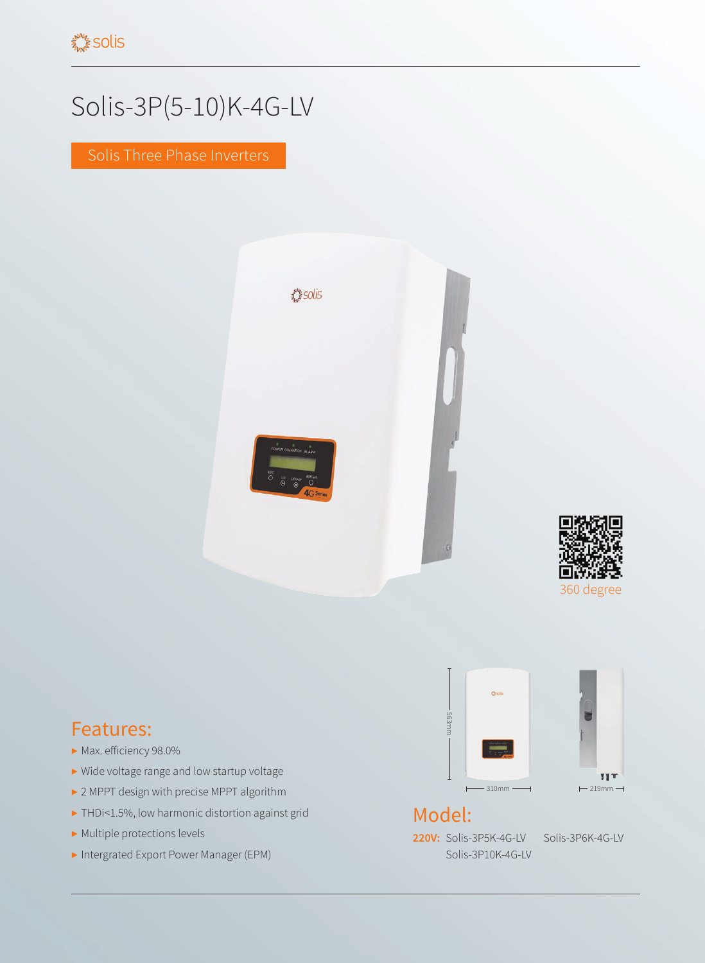## Solis-3P(5-10)K-4G-LV

Solis Three Phase Inverters





## Features:

- ▶ Max. efficiency 98.0%
- ▶ Wide voltage range and low startup voltage
- ▶ 2 MPPT design with precise MPPT algorithm
- ▶ THDi<1.5%, low harmonic distortion against grid
- ▶ Multiple protections levels
- ▶ Intergrated Export Power Manager (EPM)



## Model:

**220V:** Solis-3P5K-4G-LV Solis-3P6K-4G-LV Solis-3P10K-4G-LV

**YYT**